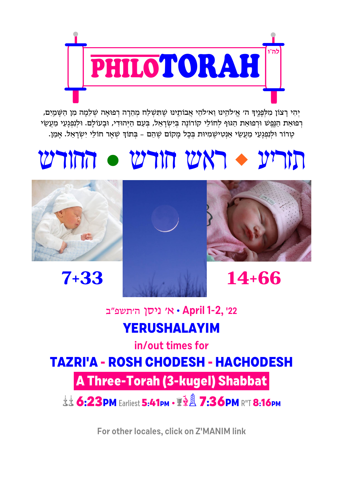For other locales, click on Z'MANIM link

A Three-Torah (3-kugel) Shabbat

**LE 6:23PM Farliest 5:41pm · 2 8 7:36PM R"T 8:16pm** 

**TAZRI'A - ROSH CHODESH - HACHODESH** 

in/out times for

## **YERUSHALAYIM**

יאי ניסן היתשפ"ב • April 1-2, 22

 $7 + 33$ 









# $v$ ''  $v$  and  $v$ ''  $\sim v$ ''  $v$ ''

יְהִי רַצוֹן מִלְפָנֵיךְ ה׳ אֵילֹהֵינוּ וֵאילֹהֵי אֲבוֹתֵינוּ שֵׁתְּשְׁלַח מְהֶרַה רְפוּאַה שְׁלֵמַה מִן הַשָּׁמַיִם, רפואת הנפש ורפואת הגוף לחולי קורונה בישראל, בעם היהודי, ובעולם. ולנפגעי מעשי טֶרוֹר וּלְנְפְגָעֶי מָעֲשֶׂי אֲנְטִישֶׁמְיוּת בְּכָל מַקוֹם שֶׁהֶם - בְּתוֹךְ שָׁאֵר חוֹלֵי יְשְׂרָאֵל. אַמֶן.